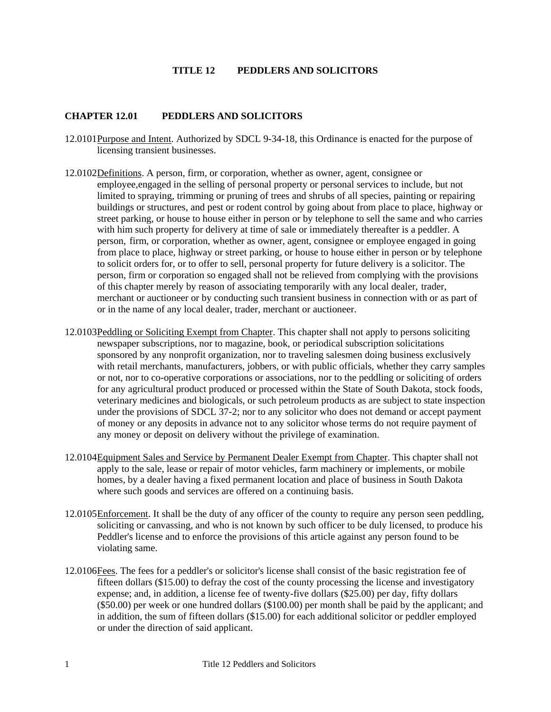## **TITLE 12 PEDDLERS AND SOLICITORS**

## **CHAPTER 12.01 PEDDLERS AND SOLICITORS**

- 12.0101 Purpose and Intent. Authorized by SDCL 9-34-18, this Ordinance is enacted for the purpose of licensing transient businesses.
- 12.0102 Definitions. A person, firm, or corporation, whether as owner, agent, consignee or employee,engaged in the selling of personal property or personal services to include, but not limited to spraying, trimming or pruning of trees and shrubs of all species, painting or repairing buildings or structures, and pest or rodent control by going about from place to place, highway or street parking, or house to house either in person or by telephone to sell the same and who carries with him such property for delivery at time of sale or immediately thereafter is a peddler. A person, firm, or corporation, whether as owner, agent, consignee or employee engaged in going from place to place, highway or street parking, or house to house either in person or by telephone to solicit orders for, or to offer to sell, personal property for future delivery is a solicitor. The person, firm or corporation so engaged shall not be relieved from complying with the provisions of this chapter merely by reason of associating temporarily with any local dealer, trader, merchant or auctioneer or by conducting such transient business in connection with or as part of or in the name of any local dealer, trader, merchant or auctioneer.
- 12.0103 Peddling or Soliciting Exempt from Chapter. This chapter shall not apply to persons soliciting newspaper subscriptions, nor to magazine, book, or periodical subscription solicitations sponsored by any nonprofit organization, nor to traveling salesmen doing business exclusively with retail merchants, manufacturers, jobbers, or with public officials, whether they carry samples or not, nor to co-operative corporations or associations, nor to the peddling or soliciting of orders for any agricultural product produced or processed within the State of South Dakota, stock foods, veterinary medicines and biologicals, or such petroleum products as are subject to state inspection under the provisions of SDCL 37-2; nor to any solicitor who does not demand or accept payment of money or any deposits in advance not to any solicitor whose terms do not require payment of any money or deposit on delivery without the privilege of examination.
- 12.0104 Equipment Sales and Service by Permanent Dealer Exempt from Chapter. This chapter shall not apply to the sale, lease or repair of motor vehicles, farm machinery or implements, or mobile homes, by a dealer having a fixed permanent location and place of business in South Dakota where such goods and services are offered on a continuing basis.
- 12.0105 Enforcement. It shall be the duty of any officer of the county to require any person seen peddling, soliciting or canvassing, and who is not known by such officer to be duly licensed, to produce his Peddler's license and to enforce the provisions of this article against any person found to be violating same.
- 12.0106 Fees. The fees for a peddler's or solicitor's license shall consist of the basic registration fee of fifteen dollars (\$15.00) to defray the cost of the county processing the license and investigatory expense; and, in addition, a license fee of twenty-five dollars (\$25.00) per day, fifty dollars (\$50.00) per week or one hundred dollars (\$100.00) per month shall be paid by the applicant; and in addition, the sum of fifteen dollars (\$15.00) for each additional solicitor or peddler employed or under the direction of said applicant.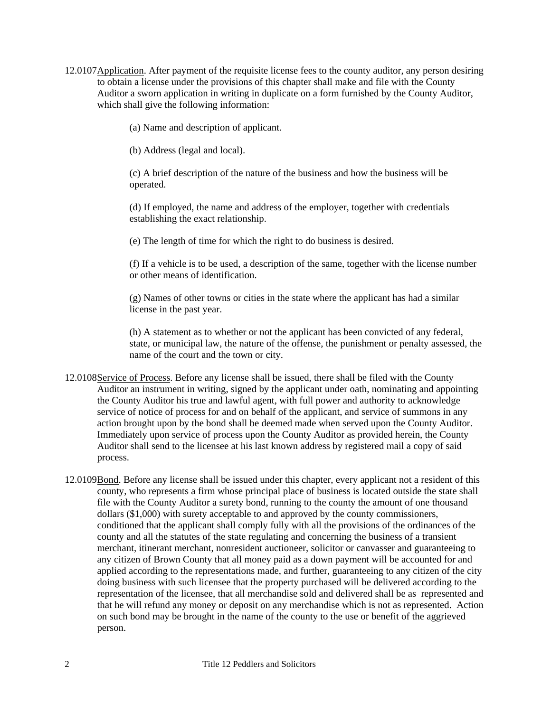12.0107 Application. After payment of the requisite license fees to the county auditor, any person desiring to obtain a license under the provisions of this chapter shall make and file with the County Auditor a sworn application in writing in duplicate on a form furnished by the County Auditor, which shall give the following information:

(a) Name and description of applicant.

(b) Address (legal and local).

(c) A brief description of the nature of the business and how the business will be operated.

(d) If employed, the name and address of the employer, together with credentials establishing the exact relationship.

(e) The length of time for which the right to do business is desired.

(f) If a vehicle is to be used, a description of the same, together with the license number or other means of identification.

(g) Names of other towns or cities in the state where the applicant has had a similar license in the past year.

(h) A statement as to whether or not the applicant has been convicted of any federal, state, or municipal law, the nature of the offense, the punishment or penalty assessed, the name of the court and the town or city.

- 12.0108 Service of Process. Before any license shall be issued, there shall be filed with the County Auditor an instrument in writing, signed by the applicant under oath, nominating and appointing the County Auditor his true and lawful agent, with full power and authority to acknowledge service of notice of process for and on behalf of the applicant, and service of summons in any action brought upon by the bond shall be deemed made when served upon the County Auditor. Immediately upon service of process upon the County Auditor as provided herein, the County Auditor shall send to the licensee at his last known address by registered mail a copy of said process.
- 12.0109 Bond. Before any license shall be issued under this chapter, every applicant not a resident of this county, who represents a firm whose principal place of business is located outside the state shall file with the County Auditor a surety bond, running to the county the amount of one thousand dollars (\$1,000) with surety acceptable to and approved by the county commissioners, conditioned that the applicant shall comply fully with all the provisions of the ordinances of the county and all the statutes of the state regulating and concerning the business of a transient merchant, itinerant merchant, nonresident auctioneer, solicitor or canvasser and guaranteeing to any citizen of Brown County that all money paid as a down payment will be accounted for and applied according to the representations made, and further, guaranteeing to any citizen of the city doing business with such licensee that the property purchased will be delivered according to the representation of the licensee, that all merchandise sold and delivered shall be as represented and that he will refund any money or deposit on any merchandise which is not as represented. Action on such bond may be brought in the name of the county to the use or benefit of the aggrieved person.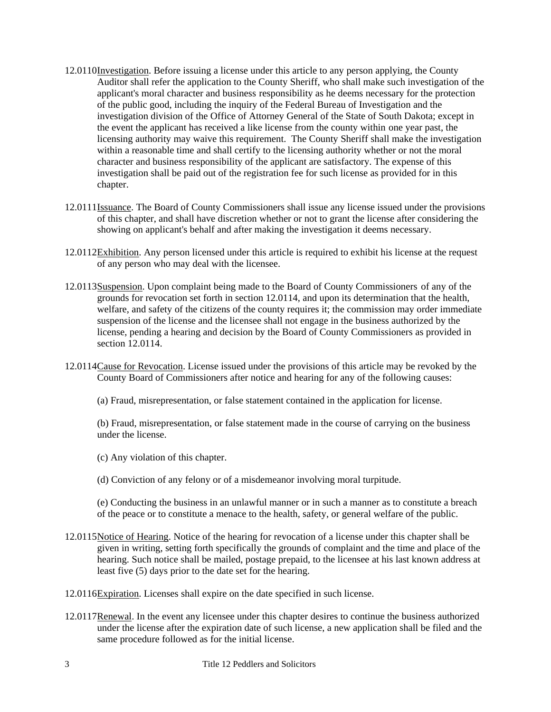- 12.0110 Investigation. Before issuing a license under this article to any person applying, the County Auditor shall refer the application to the County Sheriff, who shall make such investigation of the applicant's moral character and business responsibility as he deems necessary for the protection of the public good, including the inquiry of the Federal Bureau of Investigation and the investigation division of the Office of Attorney General of the State of South Dakota; except in the event the applicant has received a like license from the county within one year past, the licensing authority may waive this requirement. The County Sheriff shall make the investigation within a reasonable time and shall certify to the licensing authority whether or not the moral character and business responsibility of the applicant are satisfactory. The expense of this investigation shall be paid out of the registration fee for such license as provided for in this chapter.
- 12.0111 Issuance. The Board of County Commissioners shall issue any license issued under the provisions of this chapter, and shall have discretion whether or not to grant the license after considering the showing on applicant's behalf and after making the investigation it deems necessary.
- 12.0112 Exhibition. Any person licensed under this article is required to exhibit his license at the request of any person who may deal with the licensee.
- 12.0113 Suspension. Upon complaint being made to the Board of County Commissioners of any of the grounds for revocation set forth in section 12.0114, and upon its determination that the health, welfare, and safety of the citizens of the county requires it; the commission may order immediate suspension of the license and the licensee shall not engage in the business authorized by the license, pending a hearing and decision by the Board of County Commissioners as provided in section 12.0114.
- 12.0114 Cause for Revocation. License issued under the provisions of this article may be revoked by the County Board of Commissioners after notice and hearing for any of the following causes:

(a) Fraud, misrepresentation, or false statement contained in the application for license.

 (b) Fraud, misrepresentation, or false statement made in the course of carrying on the business under the license.

- (c) Any violation of this chapter.
- (d) Conviction of any felony or of a misdemeanor involving moral turpitude.

(e) Conducting the business in an unlawful manner or in such a manner as to constitute a breach of the peace or to constitute a menace to the health, safety, or general welfare of the public.

- 12.0115 Notice of Hearing. Notice of the hearing for revocation of a license under this chapter shall be given in writing, setting forth specifically the grounds of complaint and the time and place of the hearing. Such notice shall be mailed, postage prepaid, to the licensee at his last known address at least five (5) days prior to the date set for the hearing.
- 12.0116 Expiration. Licenses shall expire on the date specified in such license.
- 12.0117 Renewal. In the event any licensee under this chapter desires to continue the business authorized under the license after the expiration date of such license, a new application shall be filed and the same procedure followed as for the initial license.